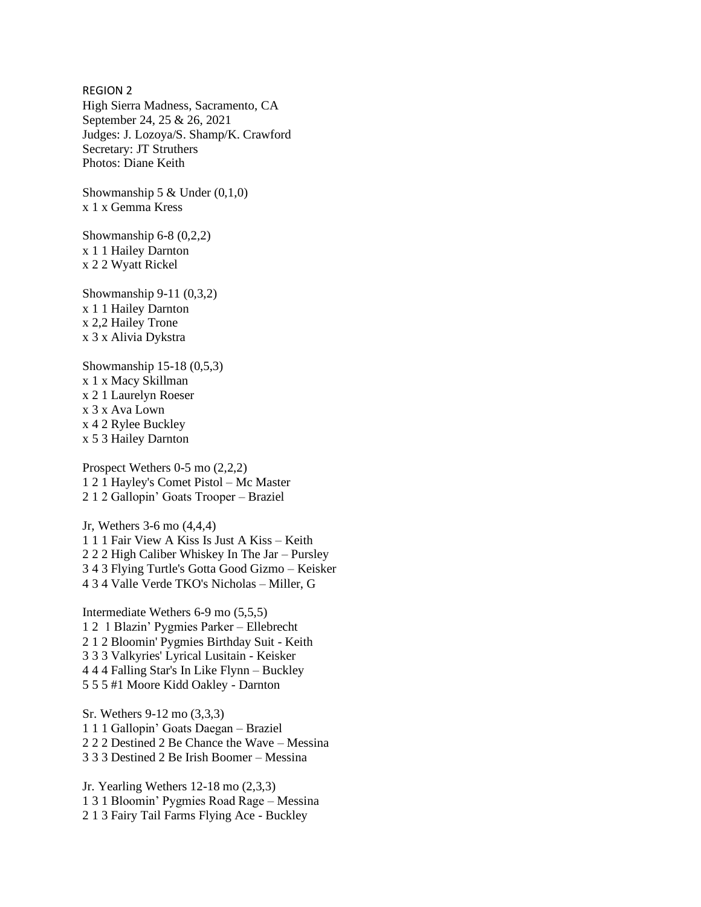REGION 2 High Sierra Madness, Sacramento, CA September 24, 25 & 26, 2021 Judges: J. Lozoya/S. Shamp/K. Crawford Secretary: JT Struthers Photos: Diane Keith

Showmanship 5  $&$  Under (0,1,0) x 1 x Gemma Kress

Showmanship 6-8 (0,2,2) x 1 1 Hailey Darnton x 2 2 Wyatt Rickel

Showmanship 9-11 (0,3,2) x 1 1 Hailey Darnton x 2,2 Hailey Trone x 3 x Alivia Dykstra

Showmanship 15-18 (0,5,3) x 1 x Macy Skillman x 2 1 Laurelyn Roeser x 3 x Ava Lown x 4 2 Rylee Buckley x 5 3 Hailey Darnton

Prospect Wethers 0-5 mo (2,2,2) 1 2 1 Hayley's Comet Pistol – Mc Master 2 1 2 Gallopin' Goats Trooper – Braziel

Jr, Wethers 3-6 mo (4,4,4) 1 1 1 Fair View A Kiss Is Just A Kiss – Keith 2 2 2 High Caliber Whiskey In The Jar – Pursley 3 4 3 Flying Turtle's Gotta Good Gizmo – Keisker 4 3 4 Valle Verde TKO's Nicholas – Miller, G

Intermediate Wethers 6-9 mo (5,5,5) 1 2 1 Blazin' Pygmies Parker – Ellebrecht 2 1 2 Bloomin' Pygmies Birthday Suit - Keith 3 3 3 Valkyries' Lyrical Lusitain - Keisker 4 4 4 Falling Star's In Like Flynn – Buckley 5 5 5 #1 Moore Kidd Oakley - Darnton

Sr. Wethers 9-12 mo (3,3,3) 1 1 1 Gallopin' Goats Daegan – Braziel 2 2 2 Destined 2 Be Chance the Wave – Messina 3 3 3 Destined 2 Be Irish Boomer – Messina

Jr. Yearling Wethers 12-18 mo (2,3,3) 1 3 1 Bloomin' Pygmies Road Rage – Messina 2 1 3 Fairy Tail Farms Flying Ace - Buckley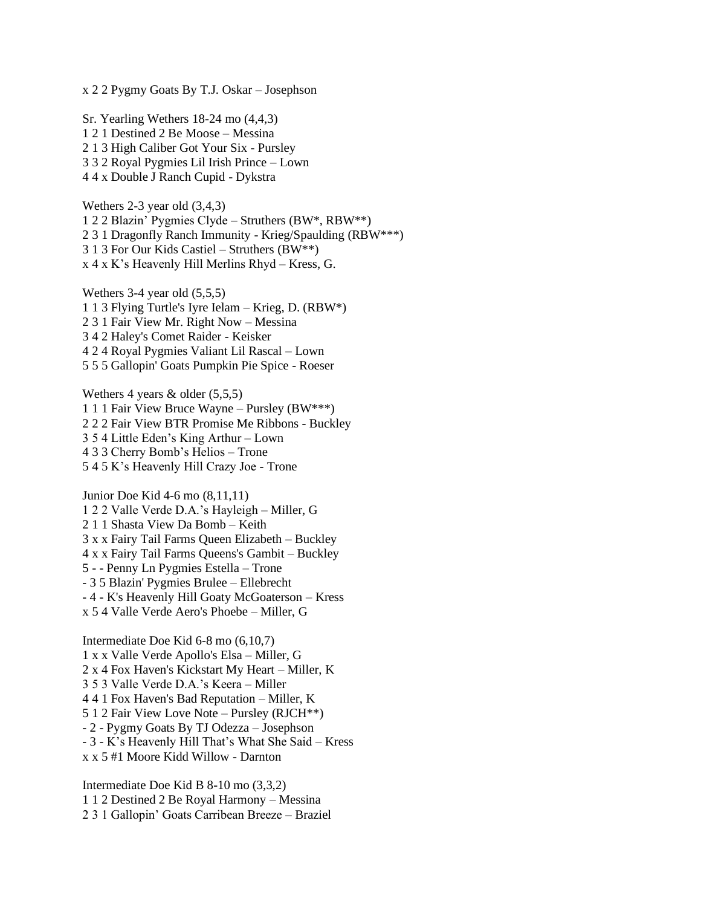x 2 2 Pygmy Goats By T.J. Oskar – Josephson

Sr. Yearling Wethers 18-24 mo (4,4,3) 1 2 1 Destined 2 Be Moose – Messina 2 1 3 High Caliber Got Your Six - Pursley 3 3 2 Royal Pygmies Lil Irish Prince – Lown 4 4 x Double J Ranch Cupid - Dykstra

Wethers 2-3 year old (3,4,3) 1 2 2 Blazin' Pygmies Clyde – Struthers (BW\*, RBW\*\*) 2 3 1 Dragonfly Ranch Immunity - Krieg/Spaulding (RBW\*\*\*) 3 1 3 For Our Kids Castiel – Struthers (BW\*\*) x 4 x K's Heavenly Hill Merlins Rhyd – Kress, G.

Wethers 3-4 year old (5,5,5) 1 1 3 Flying Turtle's Iyre Ielam – Krieg, D. (RBW\*) 2 3 1 Fair View Mr. Right Now – Messina 3 4 2 Haley's Comet Raider - Keisker 4 2 4 Royal Pygmies Valiant Lil Rascal – Lown 5 5 5 Gallopin' Goats Pumpkin Pie Spice - Roeser

Wethers 4 years & older (5,5,5) 1 1 1 Fair View Bruce Wayne – Pursley (BW\*\*\*) 2 2 2 Fair View BTR Promise Me Ribbons - Buckley 3 5 4 Little Eden's King Arthur – Lown 4 3 3 Cherry Bomb's Helios – Trone 5 4 5 K's Heavenly Hill Crazy Joe - Trone

Junior Doe Kid 4-6 mo (8,11,11) 1 2 2 Valle Verde D.A.'s Hayleigh – Miller, G 2 1 1 Shasta View Da Bomb – Keith 3 x x Fairy Tail Farms Queen Elizabeth – Buckley 4 x x Fairy Tail Farms Queens's Gambit – Buckley 5 - - Penny Ln Pygmies Estella – Trone - 3 5 Blazin' Pygmies Brulee – Ellebrecht - 4 - K's Heavenly Hill Goaty McGoaterson – Kress x 5 4 Valle Verde Aero's Phoebe – Miller, G

Intermediate Doe Kid 6-8 mo (6,10,7) 1 x x Valle Verde Apollo's Elsa – Miller, G 2 x 4 Fox Haven's Kickstart My Heart – Miller, K 3 5 3 Valle Verde D.A.'s Keera – Miller 4 4 1 Fox Haven's Bad Reputation – Miller, K 5 1 2 Fair View Love Note – Pursley (RJCH\*\*) - 2 - Pygmy Goats By TJ Odezza – Josephson - 3 - K's Heavenly Hill That's What She Said – Kress x x 5 #1 Moore Kidd Willow - Darnton

Intermediate Doe Kid B 8-10 mo (3,3,2) 1 1 2 Destined 2 Be Royal Harmony – Messina 2 3 1 Gallopin' Goats Carribean Breeze – Braziel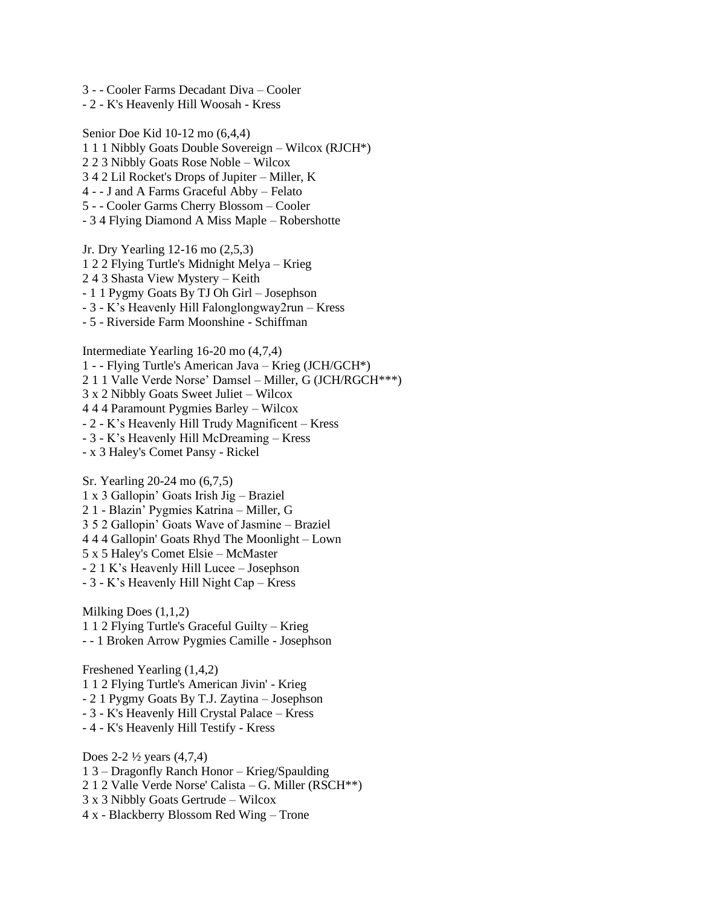- 3 - Cooler Farms Decadant Diva Cooler
- 2 K's Heavenly Hill Woosah Kress

Senior Doe Kid 10-12 mo (6,4,4) 1 1 1 Nibbly Goats Double Sovereign – Wilcox (RJCH\*) 2 2 3 Nibbly Goats Rose Noble – Wilcox 3 4 2 Lil Rocket's Drops of Jupiter – Miller, K 4 - - J and A Farms Graceful Abby – Felato 5 - - Cooler Garms Cherry Blossom – Cooler - 3 4 Flying Diamond A Miss Maple – Robershotte Jr. Dry Yearling 12-16 mo (2,5,3) 1 2 2 Flying Turtle's Midnight Melya – Krieg

- 2 4 3 Shasta View Mystery Keith
- 1 1 Pygmy Goats By TJ Oh Girl Josephson
- 3 K's Heavenly Hill Falonglongway2run Kress
- 5 Riverside Farm Moonshine Schiffman

Intermediate Yearling 16-20 mo (4,7,4) 1 - - Flying Turtle's American Java – Krieg (JCH/GCH\*) 2 1 1 Valle Verde Norse' Damsel – Miller, G (JCH/RGCH\*\*\*) 3 x 2 Nibbly Goats Sweet Juliet – Wilcox 4 4 4 Paramount Pygmies Barley – Wilcox - 2 - K's Heavenly Hill Trudy Magnificent – Kress - 3 - K's Heavenly Hill McDreaming – Kress

- x 3 Haley's Comet Pansy - Rickel

Sr. Yearling 20-24 mo (6,7,5) 1 x 3 Gallopin' Goats Irish Jig – Braziel 2 1 - Blazin' Pygmies Katrina – Miller, G 3 5 2 Gallopin' Goats Wave of Jasmine – Braziel 4 4 4 Gallopin' Goats Rhyd The Moonlight – Lown 5 x 5 Haley's Comet Elsie – McMaster - 2 1 K's Heavenly Hill Lucee – Josephson - 3 - K's Heavenly Hill Night Cap – Kress

Milking Does (1,1,2) 1 1 2 Flying Turtle's Graceful Guilty – Krieg - - 1 Broken Arrow Pygmies Camille - Josephson

Freshened Yearling (1,4,2) 1 1 2 Flying Turtle's American Jivin' - Krieg - 2 1 Pygmy Goats By T.J. Zaytina – Josephson - 3 - K's Heavenly Hill Crystal Palace – Kress - 4 - K's Heavenly Hill Testify - Kress

Does 2-2 ½ years (4,7,4) 1 3 – Dragonfly Ranch Honor – Krieg/Spaulding 2 1 2 Valle Verde Norse' Calista – G. Miller (RSCH\*\*) 3 x 3 Nibbly Goats Gertrude – Wilcox 4 x - Blackberry Blossom Red Wing – Trone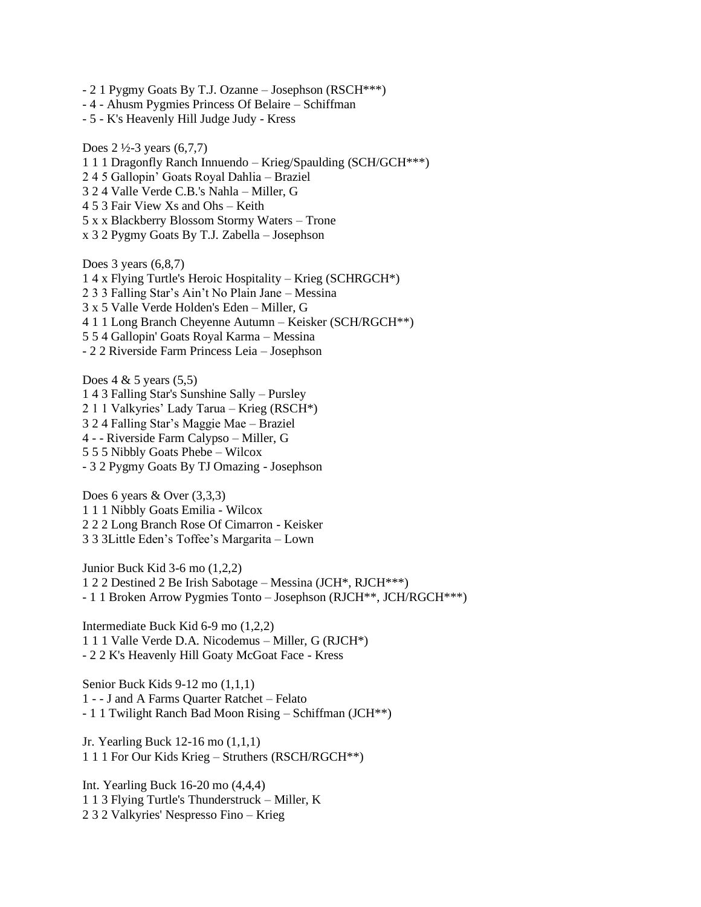- 2 1 Pygmy Goats By T.J. Ozanne Josephson (RSCH\*\*\*)
- 4 Ahusm Pygmies Princess Of Belaire Schiffman
- 5 K's Heavenly Hill Judge Judy Kress

Does  $2\frac{1}{2}$ -3 years (6,7,7) 1 1 1 Dragonfly Ranch Innuendo – Krieg/Spaulding (SCH/GCH\*\*\*) 2 4 5 Gallopin' Goats Royal Dahlia – Braziel 3 2 4 Valle Verde C.B.'s Nahla – Miller, G 4 5 3 Fair View Xs and Ohs – Keith 5 x x Blackberry Blossom Stormy Waters – Trone x 3 2 Pygmy Goats By T.J. Zabella – Josephson Does 3 years (6,8,7) 1 4 x Flying Turtle's Heroic Hospitality – Krieg (SCHRGCH\*) 2 3 3 Falling Star's Ain't No Plain Jane – Messina 3 x 5 Valle Verde Holden's Eden – Miller, G

- 4 1 1 Long Branch Cheyenne Autumn Keisker (SCH/RGCH\*\*)
- 5 5 4 Gallopin' Goats Royal Karma Messina
- 2 2 Riverside Farm Princess Leia Josephson

Does  $4 \& 5$  years  $(5,5)$ 1 4 3 Falling Star's Sunshine Sally – Pursley 2 1 1 Valkyries' Lady Tarua – Krieg (RSCH\*) 3 2 4 Falling Star's Maggie Mae – Braziel 4 - - Riverside Farm Calypso – Miller, G 5 5 5 Nibbly Goats Phebe – Wilcox - 3 2 Pygmy Goats By TJ Omazing - Josephson

Does 6 years & Over (3,3,3) 1 1 1 Nibbly Goats Emilia - Wilcox 2 2 2 Long Branch Rose Of Cimarron - Keisker 3 3 3Little Eden's Toffee's Margarita – Lown

Junior Buck Kid 3-6 mo (1,2,2) 1 2 2 Destined 2 Be Irish Sabotage – Messina (JCH\*, RJCH\*\*\*) - 1 1 Broken Arrow Pygmies Tonto – Josephson (RJCH\*\*, JCH/RGCH\*\*\*)

Intermediate Buck Kid 6-9 mo (1,2,2) 1 1 1 Valle Verde D.A. Nicodemus – Miller, G (RJCH\*) - 2 2 K's Heavenly Hill Goaty McGoat Face - Kress

Senior Buck Kids 9-12 mo (1,1,1) 1 - - J and A Farms Quarter Ratchet – Felato - 1 1 Twilight Ranch Bad Moon Rising – Schiffman (JCH\*\*)

Jr. Yearling Buck 12-16 mo (1,1,1) 1 1 1 For Our Kids Krieg – Struthers (RSCH/RGCH\*\*)

Int. Yearling Buck 16-20 mo (4,4,4) 1 1 3 Flying Turtle's Thunderstruck – Miller, K 2 3 2 Valkyries' Nespresso Fino – Krieg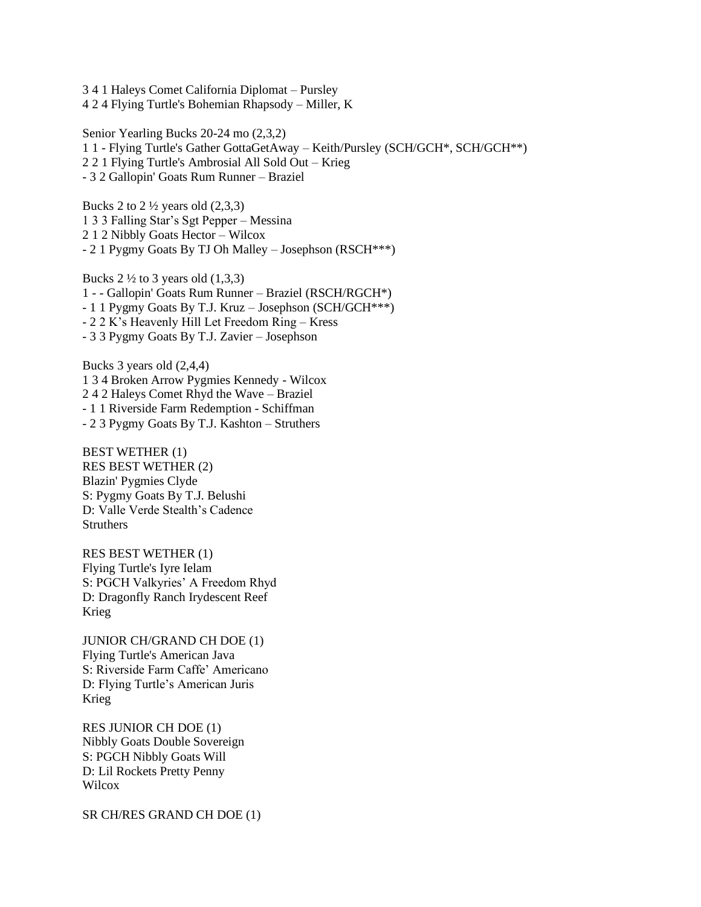3 4 1 Haleys Comet California Diplomat – Pursley 4 2 4 Flying Turtle's Bohemian Rhapsody – Miller, K

Senior Yearling Bucks 20-24 mo (2,3,2) 1 1 - Flying Turtle's Gather GottaGetAway – Keith/Pursley (SCH/GCH\*, SCH/GCH\*\*) 2 2 1 Flying Turtle's Ambrosial All Sold Out – Krieg - 3 2 Gallopin' Goats Rum Runner – Braziel

Bucks 2 to  $2\frac{1}{2}$  years old  $(2,3,3)$ 1 3 3 Falling Star's Sgt Pepper – Messina 2 1 2 Nibbly Goats Hector – Wilcox - 2 1 Pygmy Goats By TJ Oh Malley – Josephson (RSCH\*\*\*)

Bucks  $2\frac{1}{2}$  to 3 years old  $(1,3,3)$ 1 - - Gallopin' Goats Rum Runner – Braziel (RSCH/RGCH\*) - 1 1 Pygmy Goats By T.J. Kruz – Josephson (SCH/GCH\*\*\*) - 2 2 K's Heavenly Hill Let Freedom Ring – Kress - 3 3 Pygmy Goats By T.J. Zavier – Josephson

Bucks 3 years old (2,4,4) 1 3 4 Broken Arrow Pygmies Kennedy - Wilcox 2 4 2 Haleys Comet Rhyd the Wave – Braziel - 1 1 Riverside Farm Redemption - Schiffman - 2 3 Pygmy Goats By T.J. Kashton – Struthers

BEST WETHER (1) RES BEST WETHER (2) Blazin' Pygmies Clyde S: Pygmy Goats By T.J. Belushi D: Valle Verde Stealth's Cadence **Struthers** 

RES BEST WETHER (1) Flying Turtle's Iyre Ielam S: PGCH Valkyries' A Freedom Rhyd D: Dragonfly Ranch Irydescent Reef Krieg

JUNIOR CH/GRAND CH DOE (1) Flying Turtle's American Java S: Riverside Farm Caffe' Americano D: Flying Turtle's American Juris Krieg

RES JUNIOR CH DOE (1) Nibbly Goats Double Sovereign S: PGCH Nibbly Goats Will D: Lil Rockets Pretty Penny **Wilcox** 

SR CH/RES GRAND CH DOE (1)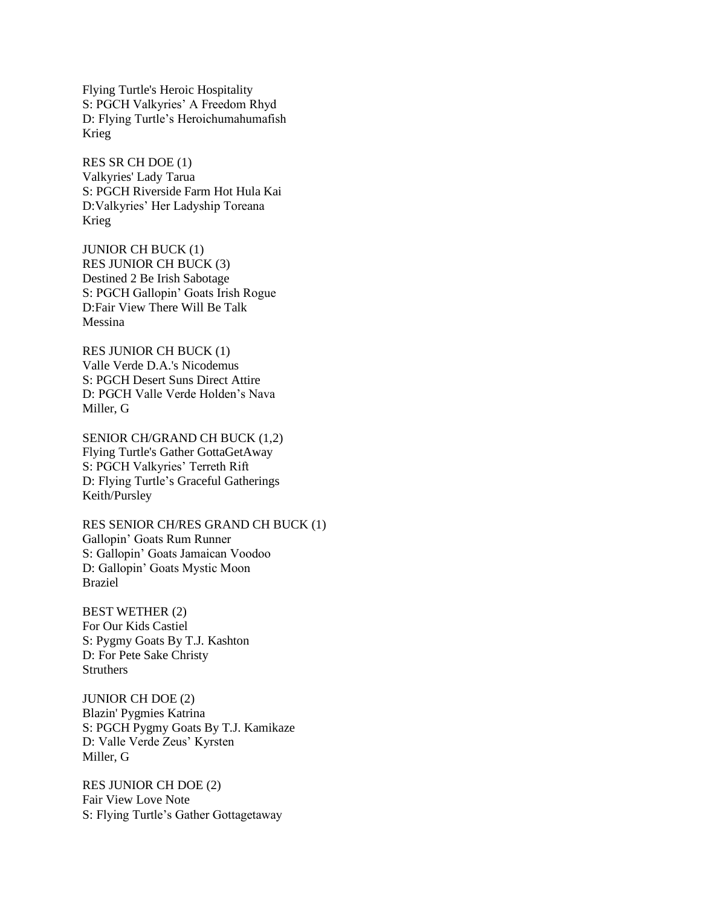Flying Turtle's Heroic Hospitality S: PGCH Valkyries' A Freedom Rhyd D: Flying Turtle's Heroichumahumafish Krieg

RES SR CH DOE (1) Valkyries' Lady Tarua S: PGCH Riverside Farm Hot Hula Kai D:Valkyries' Her Ladyship Toreana Krieg

JUNIOR CH BUCK (1) RES JUNIOR CH BUCK (3) Destined 2 Be Irish Sabotage S: PGCH Gallopin' Goats Irish Rogue D:Fair View There Will Be Talk Messina

RES JUNIOR CH BUCK (1) Valle Verde D.A.'s Nicodemus S: PGCH Desert Suns Direct Attire D: PGCH Valle Verde Holden's Nava Miller, G

SENIOR CH/GRAND CH BUCK (1,2) Flying Turtle's Gather GottaGetAway S: PGCH Valkyries' Terreth Rift D: Flying Turtle's Graceful Gatherings Keith/Pursley

RES SENIOR CH/RES GRAND CH BUCK (1) Gallopin' Goats Rum Runner S: Gallopin' Goats Jamaican Voodoo D: Gallopin' Goats Mystic Moon Braziel

BEST WETHER (2) For Our Kids Castiel S: Pygmy Goats By T.J. Kashton D: For Pete Sake Christy **Struthers** 

JUNIOR CH DOE (2) Blazin' Pygmies Katrina S: PGCH Pygmy Goats By T.J. Kamikaze D: Valle Verde Zeus' Kyrsten Miller, G

RES JUNIOR CH DOE (2) Fair View Love Note S: Flying Turtle's Gather Gottagetaway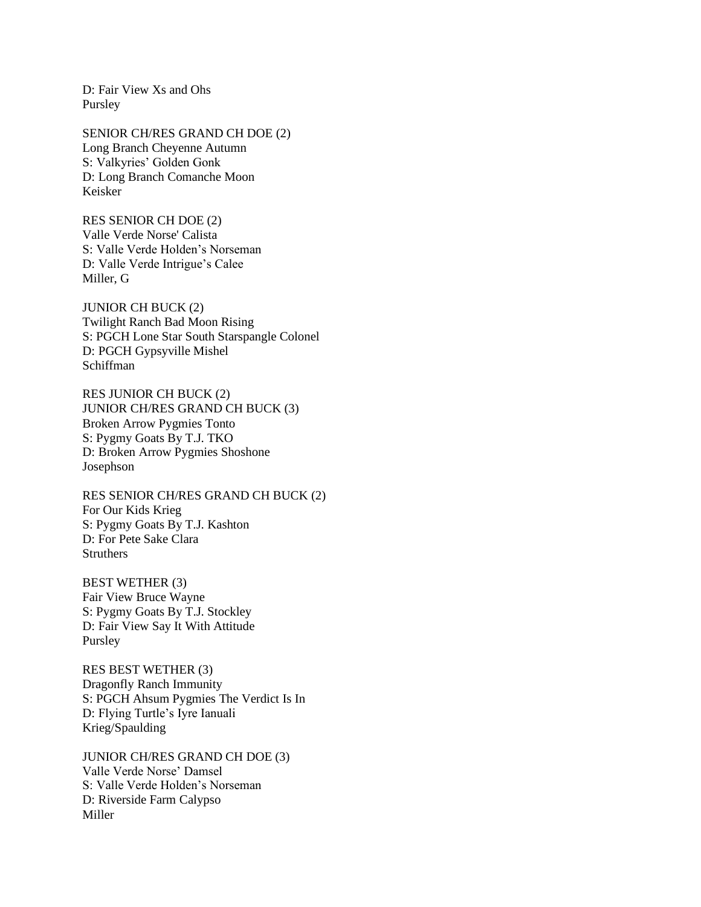D: Fair View Xs and Ohs Pursley

SENIOR CH/RES GRAND CH DOE (2) Long Branch Cheyenne Autumn S: Valkyries' Golden Gonk D: Long Branch Comanche Moon Keisker

RES SENIOR CH DOE (2) Valle Verde Norse' Calista S: Valle Verde Holden's Norseman D: Valle Verde Intrigue's Calee Miller, G

JUNIOR CH BUCK (2) Twilight Ranch Bad Moon Rising S: PGCH Lone Star South Starspangle Colonel D: PGCH Gypsyville Mishel Schiffman

RES JUNIOR CH BUCK (2) JUNIOR CH/RES GRAND CH BUCK (3) Broken Arrow Pygmies Tonto S: Pygmy Goats By T.J. TKO D: Broken Arrow Pygmies Shoshone Josephson

RES SENIOR CH/RES GRAND CH BUCK (2) For Our Kids Krieg S: Pygmy Goats By T.J. Kashton D: For Pete Sake Clara **Struthers** 

BEST WETHER (3) Fair View Bruce Wayne S: Pygmy Goats By T.J. Stockley D: Fair View Say It With Attitude Pursley

RES BEST WETHER (3) Dragonfly Ranch Immunity S: PGCH Ahsum Pygmies The Verdict Is In D: Flying Turtle's Iyre Ianuali Krieg/Spaulding

JUNIOR CH/RES GRAND CH DOE (3) Valle Verde Norse' Damsel S: Valle Verde Holden's Norseman D: Riverside Farm Calypso Miller